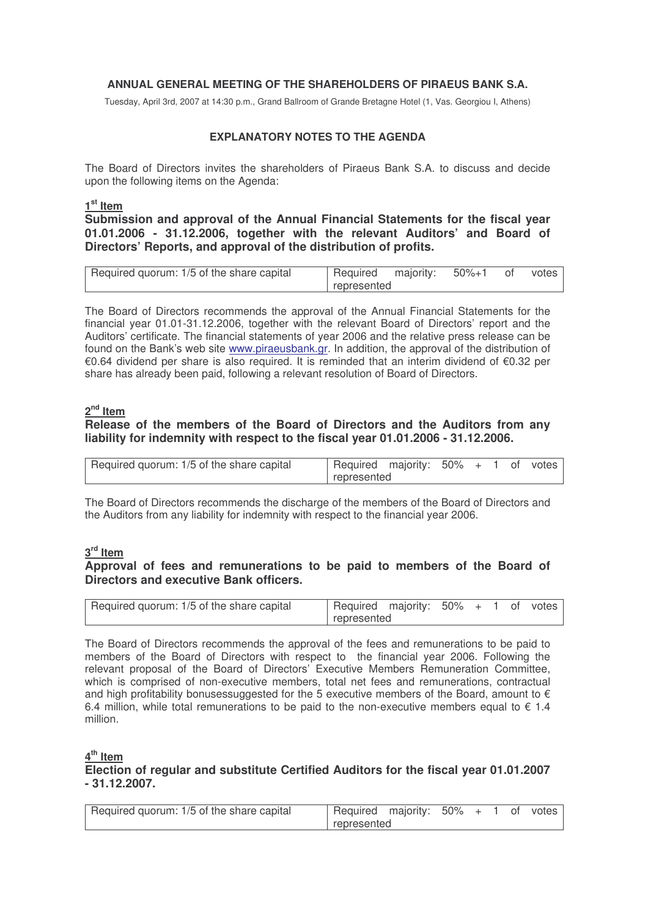## **ANNUAL GENERAL MEETING OF THE SHAREHOLDERS OF PIRAEUS BANK S.A.**

Tuesday, April 3rd, 2007 at 14:30 p.m., Grand Ballroom of Grande Bretagne Hotel (1, Vas. Georgiou I, Athens)

## **EXPLANATORY NOTES TO THE AGENDA**

The Board of Directors invites the shareholders of Piraeus Bank S.A. to discuss and decide upon the following items on the Agenda:

**1 st Item**

**Submission and approval of the Annual Financial Statements for the fiscal year 01.01.2006 - 31.12.2006, together with the relevant Auditors' and Board of Directors' Reports, and approval of the distribution of profits.**

| Required quorum: 1/5 of the share capital | Required majority: 50%+1 of votes |  |  |  |  |
|-------------------------------------------|-----------------------------------|--|--|--|--|
|                                           | represented                       |  |  |  |  |

The Board of Directors recommends the approval of the Annual Financial Statements for the financial year 01.01-31.12.2006, together with the relevant Board of Directors' report and the Auditors' certificate. The financial statements of year 2006 and the relative press release can be found on the ank's web site www.piraeusbank.gr. In addition, the approval of the distribution of €0.64 dividend per share is also required. It is reminded that an interim dividend of €0.32 per share has already been paid, following a relevant resolution of Board of Directors.

## **2 nd Item**

# **Release of the members of the Board of Directors and the Auditors from any liability for indemnity with respect to the fiscal year 01.01.2006 - 31.12.2006.**

| Required quorum: 1/5 of the share capital | Required majority: 50% + 1 of votes |  |  |  |  |  |
|-------------------------------------------|-------------------------------------|--|--|--|--|--|
|                                           | represented                         |  |  |  |  |  |

The Board of Directors recommends the discharge of the members of the Board of Directors and the Auditors from any liability for indemnity with respect to the financial year 2006.

## **3 rd Item**

## **Approval of fees and remunerations to be paid to members of the Board of Directors and executive Bank officers.**

| Required quorum: 1/5 of the share capital | Required majority: 50% + 1 of votes |  |  |  |  |  |
|-------------------------------------------|-------------------------------------|--|--|--|--|--|
|                                           | l represented                       |  |  |  |  |  |

The Board of Directors recommends the approval of the fees and remunerations to be paid to members of the Board of Directors with respect to the financial year 2006. Following the relevant proposal of the Board of Directors' Executive Members Remuneration Committee, which is comprised of non-executive members, total net fees and remunerations, contractual and high profitability bonusessuggested for the 5 executive members of the Board, amount to  $\epsilon$ 6.4 million, while total remunerations to be paid to the non-executive members equal to  $\epsilon$  1.4 million.

**4 th Item**

## **Election of regular and substitute Certified Auditors for the fiscal year 01.01.2007 - 31.12.2007.**

| Required quorum: 1/5 of the share capital | Required majority: 50% + 1 of votes |  |  |  |  |  |
|-------------------------------------------|-------------------------------------|--|--|--|--|--|
|                                           | l represented                       |  |  |  |  |  |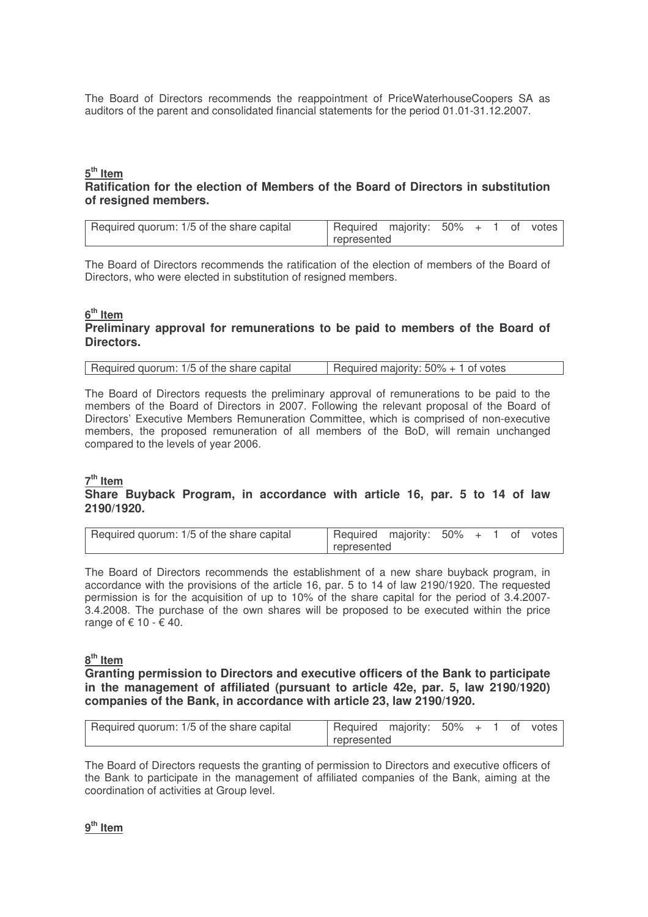The Board of Directors recommends the reappointment of PriceWaterhouseCoopers SA as auditors of the parent and consolidated financial statements for the period 01.01-31.12.2007.

## **5 th Item**

# **Ratification for the election of Members of the Board of Directors in substitution of resigned members.**

| Required quorum: 1/5 of the share capital | Required majority: 50% + 1 of votes |  |  |  |
|-------------------------------------------|-------------------------------------|--|--|--|
|                                           | represented                         |  |  |  |

The Board of Directors recommends the ratification of the election of members of the Board of Directors, who were elected in substitution of resigned members.

#### **6 th Item Preliminary approval for remunerations to be paid to members of the Board of Directors.**

| Required quorum: 1/5 of the share capital | Required majority: $50\% + 1$ of votes |
|-------------------------------------------|----------------------------------------|

The Board of Directors requests the preliminary approval of remunerations to be paid to the members of the Board of Directors in 2007. Following the relevant proposal of the Board of Directors' Executive Members Remuneration Committee, which is comprised of non-executive members, the proposed remuneration of all members of the BoD, will remain unchanged compared to the levels of year 2006.

# **7 th Item**

## **Share Buyback Program, in accordance with article 16, par. 5 to 14 of law 2190/1920.**

| Required quorum: 1/5 of the share capital | Required majority: 50% + 1 of votes |  |  |  |  |  |
|-------------------------------------------|-------------------------------------|--|--|--|--|--|
|                                           | represented                         |  |  |  |  |  |

The Board of Directors recommends the establishment of a new share buyback program, in accordance with the provisions of the article 16, par. 5 to 14 of law 2190/1920. The requested permission is for the acquisition of up to 10% of the share capital for the period of 3.4.2007- 3.4.2008. The purchase of the own shares will be proposed to be executed within the price range of  $\xi$  10 -  $\xi$  40.

## **8 th Item**

**Granting permission to Directors and executive officers of the Bank to participate in the management of affiliated (pursuant to article 42e, par. 5, law 2190/1920) companies of the Bank, in accordance with article 23, law 2190/1920.**

| Required quorum: 1/5 of the share capital | Required majority: 50% + 1 of votes |  |  |  |  |  |
|-------------------------------------------|-------------------------------------|--|--|--|--|--|
|                                           | represented                         |  |  |  |  |  |

The Board of Directors requests the granting of permission to Directors and executive officers of the Bank to participate in the management of affiliated companies of the Bank, aiming at the coordination of activities at Group level.

**9 th Item**